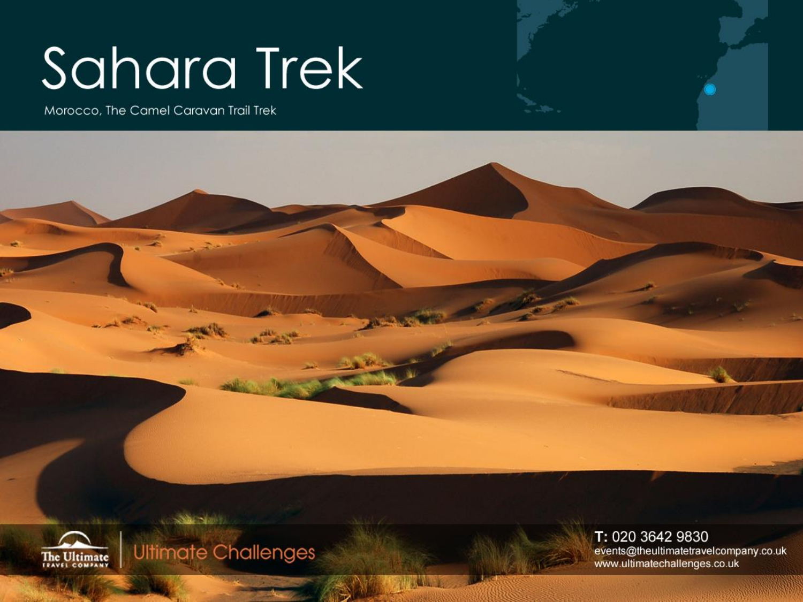# Sahara Trek

Morocco, The Camel Caravan Trail Trek





**Ultimate Challenges** 

T: 020 3642 9830 events@theultimatetravelcompany.co.uk www.ultimatechallenges.co.uk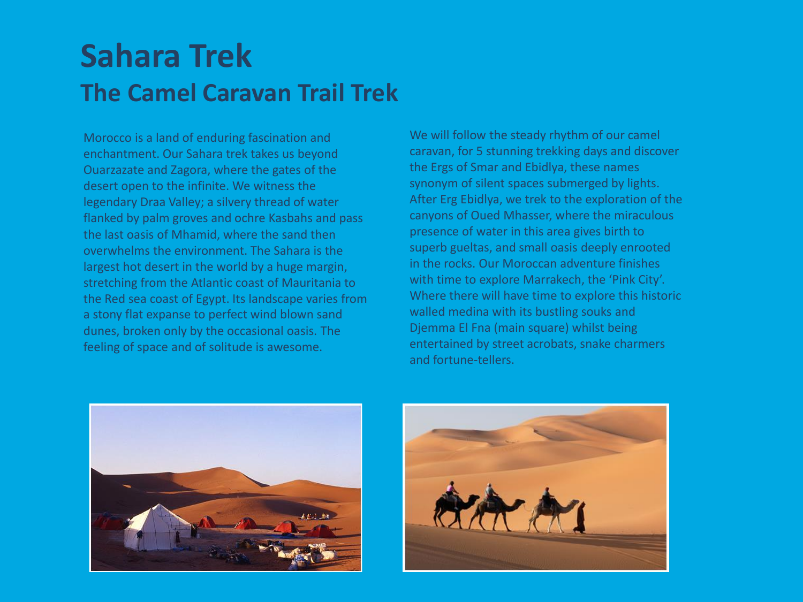## **Sahara Trek The Camel Caravan Trail Trek**

Morocco is a land of enduring fascination and enchantment. Our Sahara trek takes us beyond Ouarzazate and Zagora, where the gates of the desert open to the infinite. We witness the legendary Draa Valley; a silvery thread of water flanked by palm groves and ochre Kasbahs and pass the last oasis of Mhamid, where the sand then overwhelms the environment. The Sahara is the largest hot desert in the world by a huge margin, stretching from the Atlantic coast of Mauritania to the Red sea coast of Egypt. Its landscape varies from a stony flat expanse to perfect wind blown sand dunes, broken only by the occasional oasis. The feeling of space and of solitude is awesome.

We will follow the steady rhythm of our camel caravan, for 5 stunning trekking days and discover the Ergs of Smar and Ebidlya, these names synonym of silent spaces submerged by lights. After Erg Ebidlya, we trek to the exploration of the canyons of Oued Mhasser, where the miraculous presence of water in this area gives birth to superb gueltas, and small oasis deeply enrooted in the rocks. Our Moroccan adventure finishes with time to explore Marrakech, the 'Pink City'. Where there will have time to explore this historic walled medina with its bustling souks and Djemma El Fna (main square) whilst being entertained by street acrobats, snake charmers and fortune-tellers.



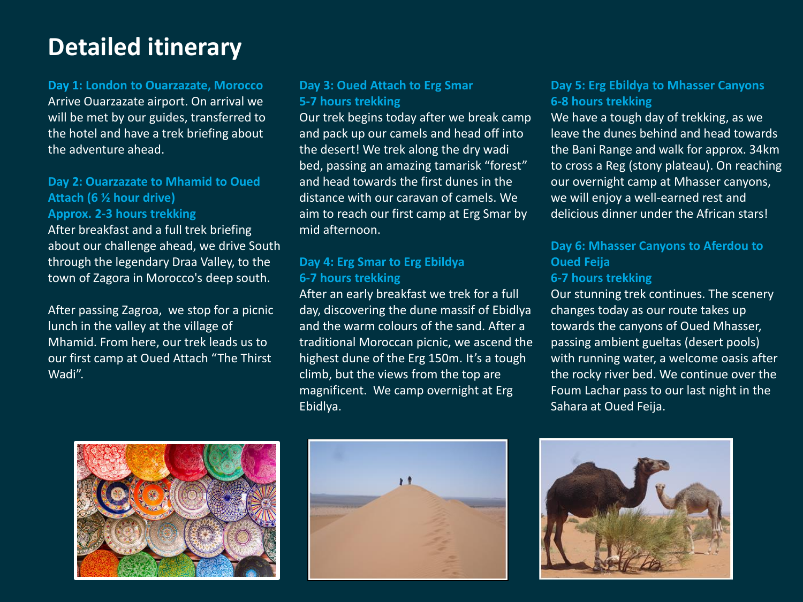## **Detailed itinerary**

#### **Day 1: London to Ouarzazate, Morocco**

Arrive Ouarzazate airport. On arrival we will be met by our guides, transferred to the hotel and have a trek briefing about the adventure ahead.

#### **Day 2: Ouarzazate to Mhamid to Oued Attach (6 ½ hour drive)**

#### **Approx. 2-3 hours trekking**

After breakfast and a full trek briefing about our challenge ahead, we drive South through the legendary Draa Valley, to the town of Zagora in Morocco's deep south.

After passing Zagroa, we stop for a picnic lunch in the valley at the village of Mhamid. From here, our trek leads us to our first camp at Oued Attach "The Thirst Wadi".

#### **Day 3: Oued Attach to Erg Smar 5-7 hours trekking**

Our trek begins today after we break camp and pack up our camels and head off into the desert! We trek along the dry wadi bed, passing an amazing tamarisk "forest" and head towards the first dunes in the distance with our caravan of camels. We aim to reach our first camp at Erg Smar by mid afternoon.

#### **Day 4: Erg Smar to Erg Ebildya 6-7 hours trekking**

After an early breakfast we trek for a full day, discovering the dune massif of Ebidlya and the warm colours of the sand. After a traditional Moroccan picnic, we ascend the highest dune of the Erg 150m. It's a tough climb, but the views from the top are magnificent. We camp overnight at Erg Ebidlya.

#### **Day 5: Erg Ebildya to Mhasser Canyons 6-8 hours trekking**

We have a tough day of trekking, as we leave the dunes behind and head towards the Bani Range and walk for approx. 34km to cross a Reg (stony plateau). On reaching our overnight camp at Mhasser canyons, we will enjoy a well-earned rest and delicious dinner under the African stars!

#### **Day 6: Mhasser Canyons to Aferdou to Oued Feija 6-7 hours trekking**

Our stunning trek continues. The scenery changes today as our route takes up towards the canyons of Oued Mhasser, passing ambient gueltas (desert pools) with running water, a welcome oasis after the rocky river bed. We continue over the Foum Lachar pass to our last night in the Sahara at Oued Feija.





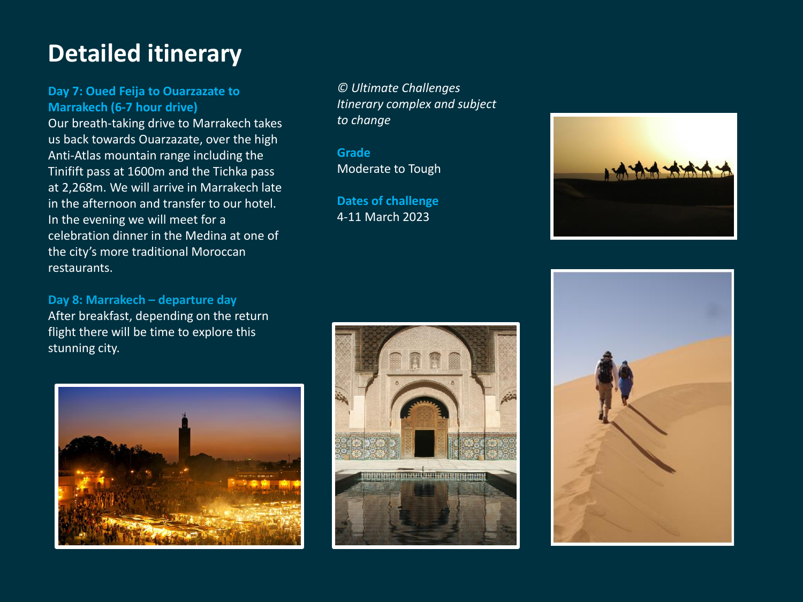## **Detailed itinerary**

#### **Day 7: Oued Feija to Ouarzazate to Marrakech (6-7 hour drive)**

Our breath-taking drive to Marrakech takes us back towards Ouarzazate, over the high Anti-Atlas mountain range including the Tinifift pass at 1600m and the Tichka pass at 2,268m. We will arrive in Marrakech late in the afternoon and transfer to our hotel. In the evening we will meet for a celebration dinner in the Medina at one of the city's more traditional Moroccan restaurants.

#### **Day 8: Marrakech – departure day**

After breakfast, depending on the return flight there will be time to explore this stunning city.



*© Ultimate Challenges Itinerary complex and subject to change* 

**Grade** Moderate to Tough

**Dates of challenge** 4-11 March 2023